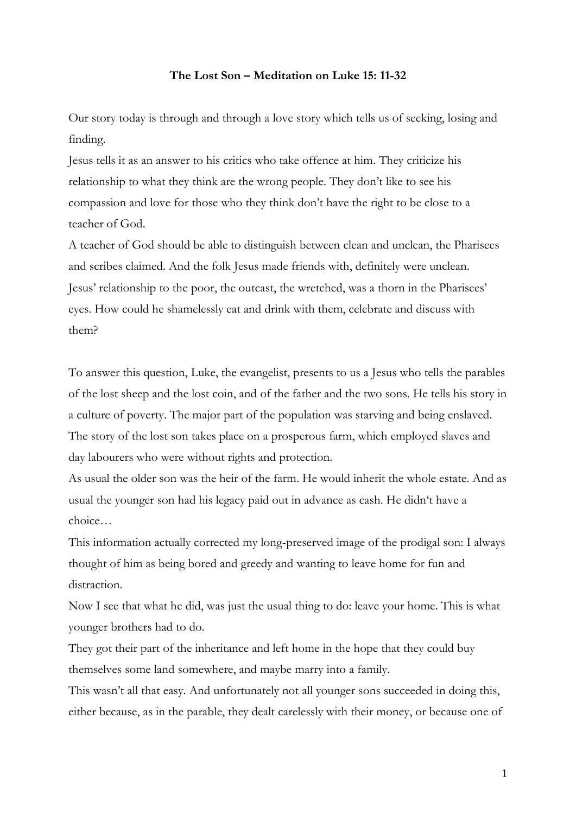## **The Lost Son – Meditation on Luke 15: 11-32**

Our story today is through and through a love story which tells us of seeking, losing and finding.

Jesus tells it as an answer to his critics who take offence at him. They criticize his relationship to what they think are the wrong people. They don't like to see his compassion and love for those who they think don't have the right to be close to a teacher of God.

A teacher of God should be able to distinguish between clean and unclean, the Pharisees and scribes claimed. And the folk Jesus made friends with, definitely were unclean. Jesus' relationship to the poor, the outcast, the wretched, was a thorn in the Pharisees' eyes. How could he shamelessly eat and drink with them, celebrate and discuss with them?

To answer this question, Luke, the evangelist, presents to us a Jesus who tells the parables of the lost sheep and the lost coin, and of the father and the two sons. He tells his story in a culture of poverty. The major part of the population was starving and being enslaved. The story of the lost son takes place on a prosperous farm, which employed slaves and day labourers who were without rights and protection.

As usual the older son was the heir of the farm. He would inherit the whole estate. And as usual the younger son had his legacy paid out in advance as cash. He didn't have a choice…

This information actually corrected my long-preserved image of the prodigal son: I always thought of him as being bored and greedy and wanting to leave home for fun and distraction.

Now I see that what he did, was just the usual thing to do: leave your home. This is what younger brothers had to do.

They got their part of the inheritance and left home in the hope that they could buy themselves some land somewhere, and maybe marry into a family.

This wasn't all that easy. And unfortunately not all younger sons succeeded in doing this, either because, as in the parable, they dealt carelessly with their money, or because one of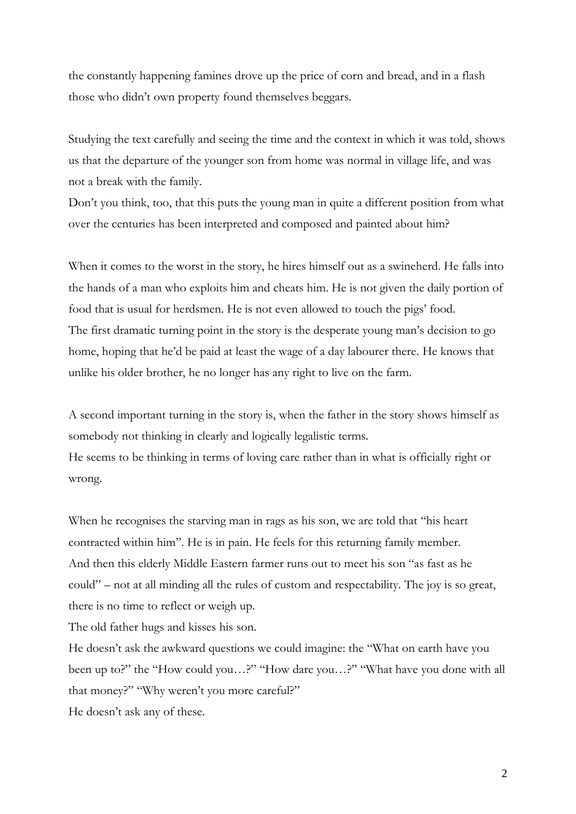the constantly happening famines drove up the price of corn and bread, and in a flash those who didn't own property found themselves beggars.

Studying the text carefully and seeing the time and the context in which it was told, shows us that the departure of the younger son from home was normal in village life, and was not a break with the family.

Don't you think, too, that this puts the young man in quite a different position from what over the centuries has been interpreted and composed and painted about him?

When it comes to the worst in the story, he hires himself out as a swineherd. He falls into the hands of a man who exploits him and cheats him. He is not given the daily portion of food that is usual for herdsmen. He is not even allowed to touch the pigs' food. The first dramatic turning point in the story is the desperate young man's decision to go home, hoping that he'd be paid at least the wage of a day labourer there. He knows that unlike his older brother, he no longer has any right to live on the farm.

A second important turning in the story is, when the father in the story shows himself as somebody not thinking in clearly and logically legalistic terms. He seems to be thinking in terms of loving care rather than in what is officially right or

wrong.

When he recognises the starving man in rags as his son, we are told that "his heart contracted within him". He is in pain. He feels for this returning family member. And then this elderly Middle Eastern farmer runs out to meet his son "as fast as he could" – not at all minding all the rules of custom and respectability. The joy is so great, there is no time to reflect or weigh up.

The old father hugs and kisses his son.

He doesn't ask the awkward questions we could imagine: the "What on earth have you been up to?" the "How could you…?" "How dare you…?" "What have you done with all that money?" "Why weren't you more careful?"

He doesn't ask any of these.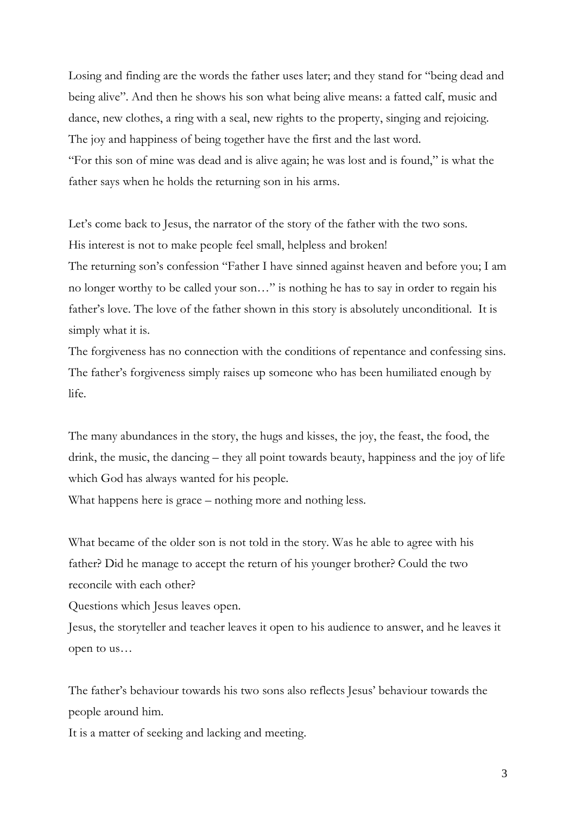Losing and finding are the words the father uses later; and they stand for "being dead and being alive". And then he shows his son what being alive means: a fatted calf, music and dance, new clothes, a ring with a seal, new rights to the property, singing and rejoicing. The joy and happiness of being together have the first and the last word. "For this son of mine was dead and is alive again; he was lost and is found," is what the father says when he holds the returning son in his arms.

Let's come back to Jesus, the narrator of the story of the father with the two sons. His interest is not to make people feel small, helpless and broken! The returning son's confession "Father I have sinned against heaven and before you; I am no longer worthy to be called your son…" is nothing he has to say in order to regain his father's love. The love of the father shown in this story is absolutely unconditional. It is

simply what it is.

The forgiveness has no connection with the conditions of repentance and confessing sins. The father's forgiveness simply raises up someone who has been humiliated enough by life.

The many abundances in the story, the hugs and kisses, the joy, the feast, the food, the drink, the music, the dancing – they all point towards beauty, happiness and the joy of life which God has always wanted for his people.

What happens here is grace – nothing more and nothing less.

What became of the older son is not told in the story. Was he able to agree with his father? Did he manage to accept the return of his younger brother? Could the two reconcile with each other?

Questions which Jesus leaves open.

Jesus, the storyteller and teacher leaves it open to his audience to answer, and he leaves it open to us…

The father's behaviour towards his two sons also reflects Jesus' behaviour towards the people around him.

It is a matter of seeking and lacking and meeting.